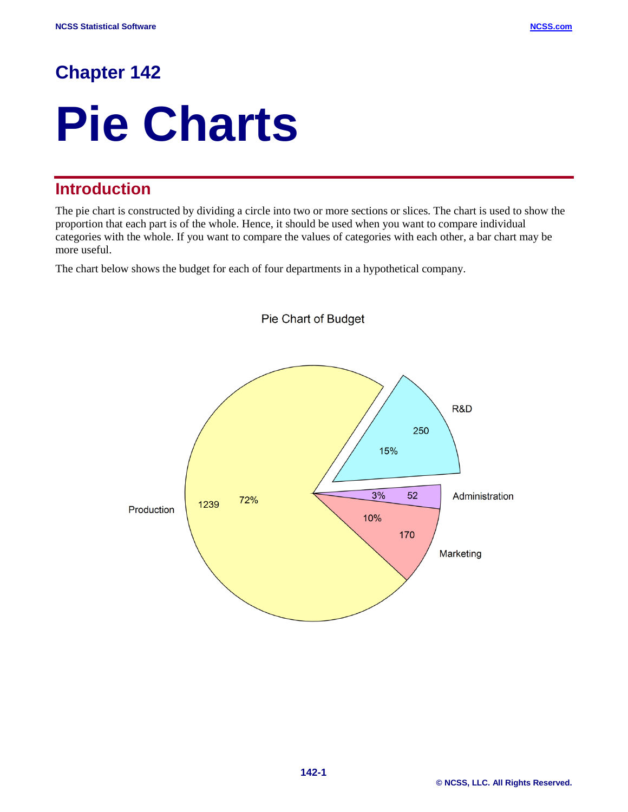# **Chapter 142**

# **Pie Charts**

# **Introduction**

The pie chart is constructed by dividing a circle into two or more sections or slices. The chart is used to show the proportion that each part is of the whole. Hence, it should be used when you want to compare individual categories with the whole. If you want to compare the values of categories with each other, a bar chart may be more useful.

The chart below shows the budget for each of four departments in a hypothetical company.

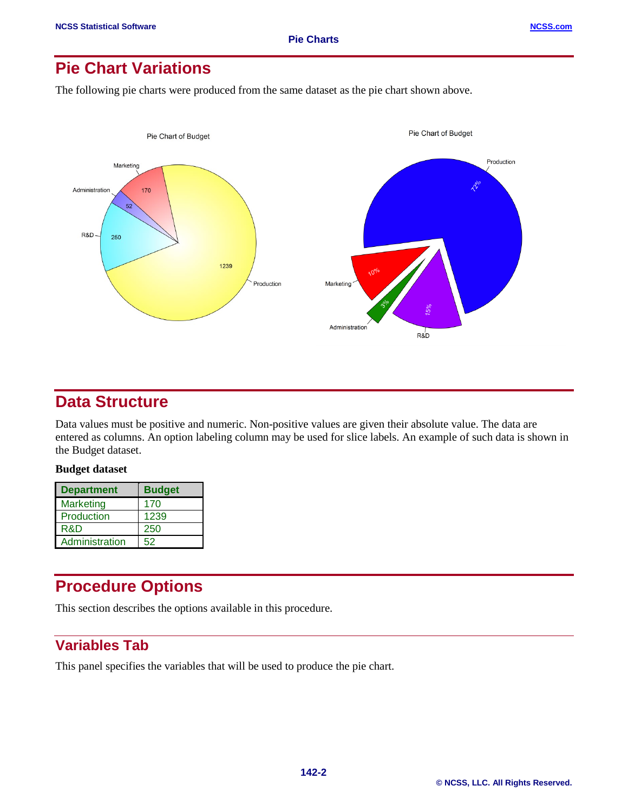# **Pie Chart Variations**

The following pie charts were produced from the same dataset as the pie chart shown above.



## **Data Structure**

Data values must be positive and numeric. Non-positive values are given their absolute value. The data are entered as columns. An option labeling column may be used for slice labels. An example of such data is shown in the Budget dataset.

#### **Budget dataset**

| <b>Department</b> | <b>Budget</b> |
|-------------------|---------------|
| <b>Marketing</b>  | 170           |
| Production        | 1239          |
| R&D               | 250           |
| Administration    | 52            |

# **Procedure Options**

This section describes the options available in this procedure.

# **Variables Tab**

This panel specifies the variables that will be used to produce the pie chart.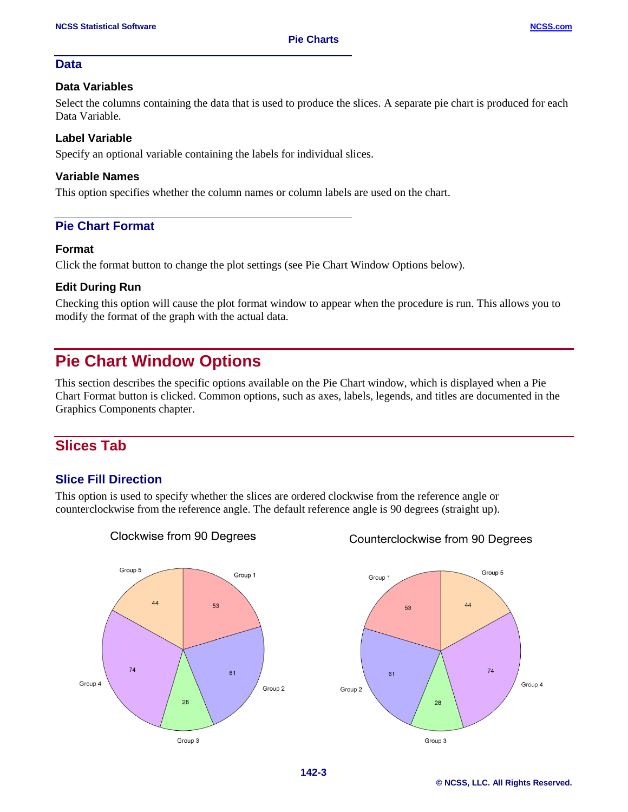### **Data**

#### **Data Variables**

Select the columns containing the data that is used to produce the slices. A separate pie chart is produced for each Data Variable.

#### **Label Variable**

Specify an optional variable containing the labels for individual slices.

#### **Variable Names**

This option specifies whether the column names or column labels are used on the chart.

## **Pie Chart Format**

#### **Format**

Click the format button to change the plot settings (see Pie Chart Window Options below).

### **Edit During Run**

Checking this option will cause the plot format window to appear when the procedure is run. This allows you to modify the format of the graph with the actual data.

# **Pie Chart Window Options**

This section describes the specific options available on the Pie Chart window, which is displayed when a Pie Chart Format button is clicked. Common options, such as axes, labels, legends, and titles are documented in the Graphics Components chapter.

## **Slices Tab**

## **Slice Fill Direction**

This option is used to specify whether the slices are ordered clockwise from the reference angle or counterclockwise from the reference angle. The default reference angle is 90 degrees (straight up).



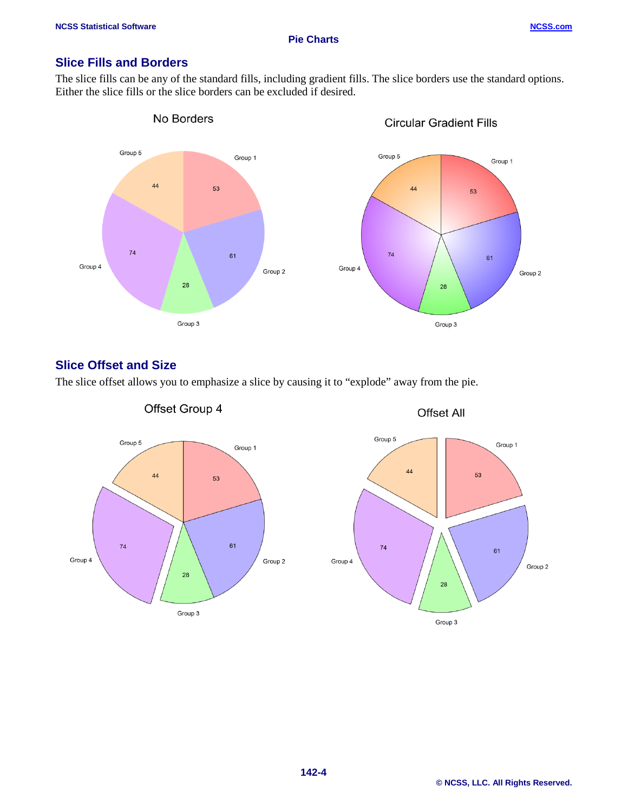## **Slice Fills and Borders**

The slice fills can be any of the standard fills, including gradient fills. The slice borders use the standard options. Either the slice fills or the slice borders can be excluded if desired.



## **Slice Offset and Size**

Offset Group 4 **Offset All** Group 5 Group 5 Group 1 Group 1  $44$ 53 44 53  $\overline{74}$ 61  $\overline{74}$ 61 Group 4 Group 2 Group 4 Group 2 28 28 Group 3 Group 3

The slice offset allows you to emphasize a slice by causing it to "explode" away from the pie.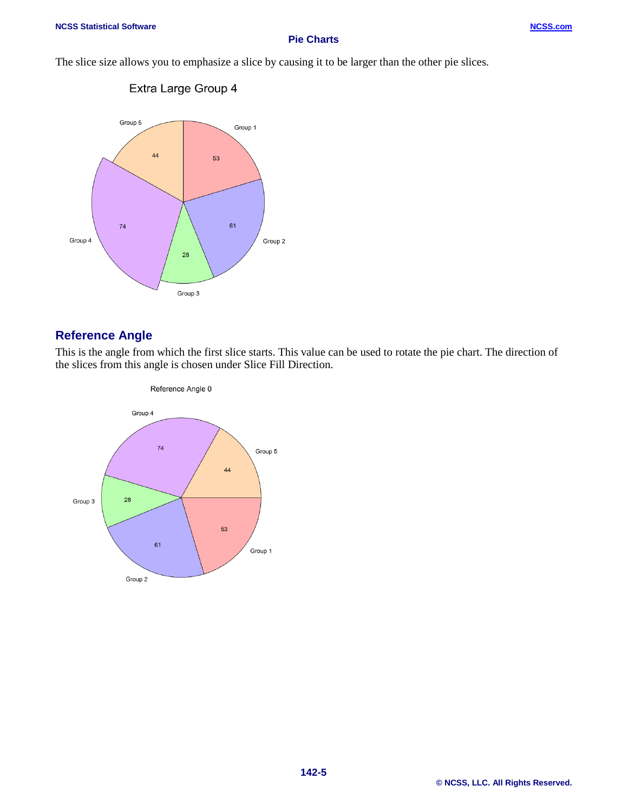#### **Pie Charts**

The slice size allows you to emphasize a slice by causing it to be larger than the other pie slices.



## **Reference Angle**

This is the angle from which the first slice starts. This value can be used to rotate the pie chart. The direction of the slices from this angle is chosen under Slice Fill Direction.

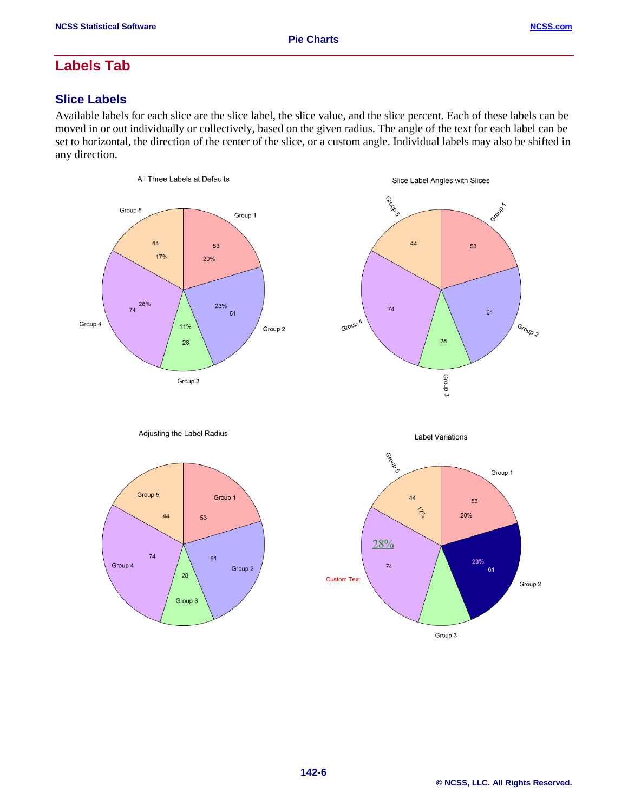$74$ 

Group 4

61

28

Group 3

Group 2

# **Labels Tab**

## **Slice Labels**

Available labels for each slice are the slice label, the slice value, and the slice percent. Each of these labels can be moved in or out individually or collectively, based on the given radius. The angle of the text for each label can be set to horizontal, the direction of the center of the slice, or a custom angle. Individual labels may also be shifted in any direction.



23%

Group 3

 $61$ 

Group 2

 $\overline{74}$ 

**Custom Text**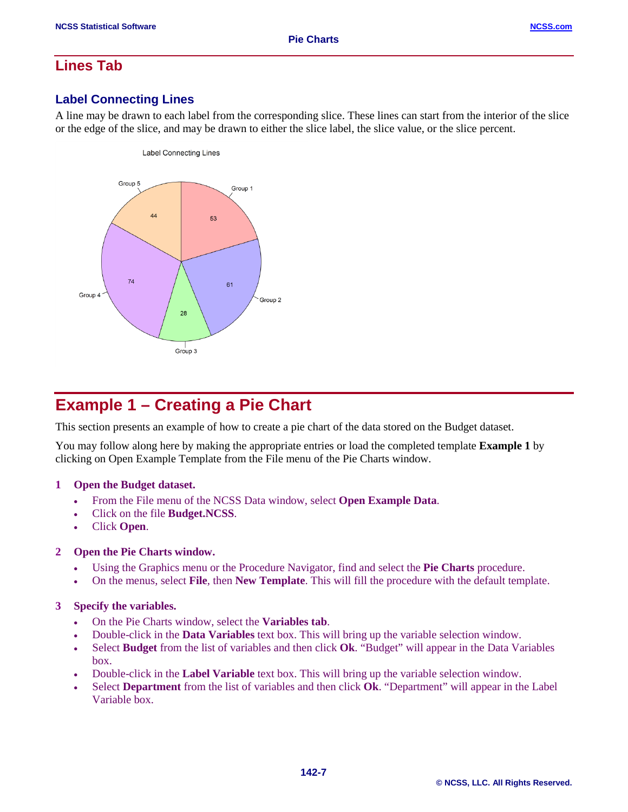## **Lines Tab**

## **Label Connecting Lines**

A line may be drawn to each label from the corresponding slice. These lines can start from the interior of the slice or the edge of the slice, and may be drawn to either the slice label, the slice value, or the slice percent.



# **Example 1 – Creating a Pie Chart**

This section presents an example of how to create a pie chart of the data stored on the Budget dataset.

You may follow along here by making the appropriate entries or load the completed template **Example 1** by clicking on Open Example Template from the File menu of the Pie Charts window.

#### **1 Open the Budget dataset.**

- From the File menu of the NCSS Data window, select **Open Example Data**.
- Click on the file **Budget.NCSS**.
- Click **Open**.

#### **2 Open the Pie Charts window.**

- Using the Graphics menu or the Procedure Navigator, find and select the **Pie Charts** procedure.
- On the menus, select **File**, then **New Template**. This will fill the procedure with the default template.

#### **3 Specify the variables.**

- On the Pie Charts window, select the **Variables tab**.
- Double-click in the **Data Variables** text box. This will bring up the variable selection window.
- Select **Budget** from the list of variables and then click **Ok**. "Budget" will appear in the Data Variables box.
- Double-click in the **Label Variable** text box. This will bring up the variable selection window.
- Select **Department** from the list of variables and then click **Ok**. "Department" will appear in the Label Variable box.